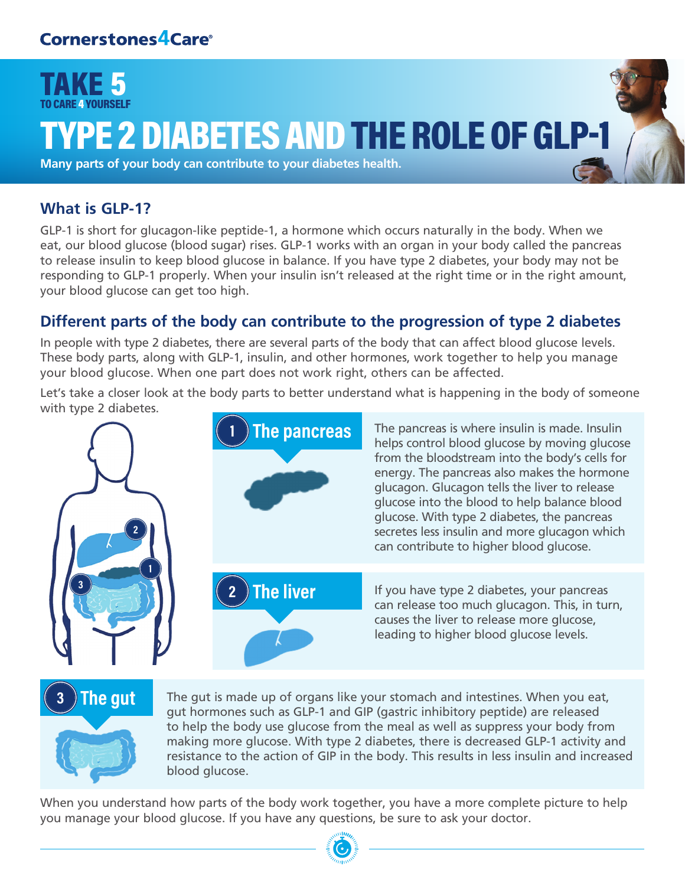

# YPE 2 DIABETES AND THE ROLE OF GLP-1

**Many parts of your body can contribute to your diabetes health.**

#### **What is GLP-1?**

GLP-1 is short for glucagon-like peptide-1, a hormone which occurs naturally in the body. When we eat, our blood glucose (blood sugar) rises. GLP-1 works with an organ in your body called the pancreas to release insulin to keep blood glucose in balance. If you have type 2 diabetes, your body may not be responding to GLP-1 properly. When your insulin isn't released at the right time or in the right amount, your blood glucose can get too high.

### **Different parts of the body can contribute to the progression of type 2 diabetes**

In people with type 2 diabetes, there are several parts of the body that can affect blood glucose levels. These body parts, along with GLP-1, insulin, and other hormones, work together to help you manage your blood glucose. When one part does not work right, others can be affected.

Let's take a closer look at the body parts to better understand what is happening in the body of someone with type 2 diabetes.





The gut The gut is made up of organs like your stomach and intestines. When you eat, gut hormones such as GLP-1 and GIP (gastric inhibitory peptide) are released to help the body use glucose from the meal as well as suppress your body from making more glucose. With type 2 diabetes, there is decreased GLP-1 activity and resistance to the action of GIP in the body. This results in less insulin and increased blood glucose.

When you understand how parts of the body work together, you have a more complete picture to help you manage your blood glucose. If you have any questions, be sure to ask your doctor.